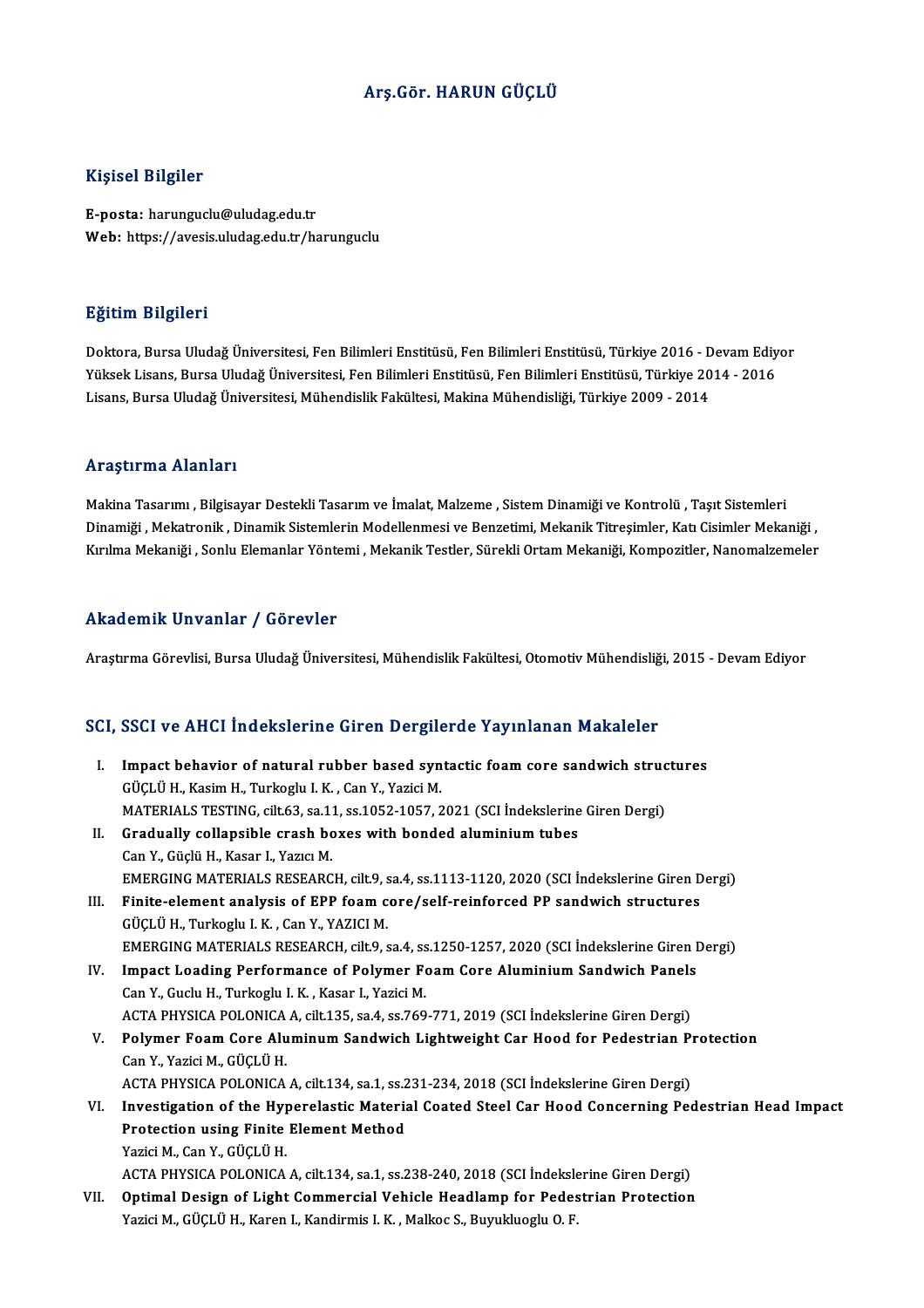#### Arş.Gör.HARUN GÜÇLÜ

#### Kişisel Bilgiler

E-posta: harunguclu@uludag.edu.tr Web: https://avesis.uludag.edu.tr/harunguclu

#### Eğitim Bilgileri

<mark>Eğitim Bilgileri</mark><br>Doktora, Bursa Uludağ Üniversitesi, Fen Bilimleri Enstitüsü, Fen Bilimleri Enstitüsü, Türkiye 2016 - Devam Ediyor<br>Yüksek Lisans, Bursa Uludağ Üniversitesi, Fen Bilimleri Enstitüsü, Fen Bilimleri Enstitüs 25.<br>1998-Yüksek Jursa Uludağ Üniversitesi, Fen Bilimleri Enstitüsü, Fen Bilimleri Enstitüsü, Türkiye 2016 - Devam Ediy<br>Yüksek Lisans, Bursa Uludağ Üniversitesi, Fen Bilimleri Enstitüsü, Fen Bilimleri Enstitüsü, Türkiye 201 Yüksek Lisans, Bursa Uludağ Üniversitesi, Fen Bilimleri Enstitüsü, Fen Bilimleri Enstitüsü, Türkiye 2014 - 2016<br>Lisans, Bursa Uludağ Üniversitesi, Mühendislik Fakültesi, Makina Mühendisliği, Türkiye 2009 - 2014

#### Araştırma Alanları

Makina Tasarımı , Bilgisayar Destekli Tasarım ve İmalat, Malzeme , Sistem Dinamiği ve Kontrolü , Taşıt Sistemleri Dinamiği , Mekatronik, Dinamik Sistemlerin Modellenmesi ve Benzetimi, Mekanik Titreşimler, Katı Cisimler Mekaniği , Kırılma Mekaniği , Sonlu Elemanlar Yöntemi , Mekanik Testler, Sürekli Ortam Mekaniği, Kompozitler, Nanomalzemeler

#### Akademik Unvanlar / Görevler

Araştırma Görevlisi, Bursa Uludağ Üniversitesi, Mühendislik Fakültesi, Otomotiv Mühendisliği, 2015 - Devam Ediyor

# Araşurma Göreviisi, Bursa Oludag Oniversitesi, Münendislik Fakultesi, Olomouv Münendislig<br>SCI, SSCI ve AHCI İndekslerine Giren Dergilerde Yayınlanan Makaleler

CI, SSCI ve AHCI İndekslerine Giren Dergilerde Yayınlanan Makaleler<br>I. Impact behavior of natural rubber based syntactic foam core sandwich structures<br>Cüclü H. Kasim H. Turkashu LK. Can Y. Yazisi M GÜÇLÜ H., Kasim H., Turkoglu I. K. , Can Y., Yazici M.<br>MATERIALS TESTING, cilt.63, sa.11, ss.1052-1057, 2021 (SCI İndekslerine Giren Dergi) I. Impact behavior of natural rubber based syntactic foam core sandwich structures GÜÇLÜ H., Kasim H., Turkoglu I. K. , Can Y., Yazici M.<br>MATERIALS TESTING, cilt.63, sa.11, ss.1052-1057, 2021 (SCI İndekslerine<br>II. Gradually collapsible crash boxes with bonded aluminium tubes<br>Can Y. Güelü H. Kasan J. Yawa MATERIALS TESTING, cilt.63, sa.1:<br>Gradually collapsible crash bc<br>Can Y., Güçlü H., Kasar I., Yazıcı M.<br>EMERCINC MATERIALS RESEARC Gradually collapsible crash boxes with bonded aluminium tubes<br>Can Y., Güçlü H., Kasar I., Yazıcı M.<br>EMERGING MATERIALS RESEARCH, cilt.9, sa.4, ss.1113-1120, 2020 (SCI İndekslerine Giren Dergi)<br>Finite element analyaja of EP Can Y., Güçlü H., Kasar I., Yazıcı M.<br>EMERGING MATERIALS RESEARCH, cilt.9, sa.4, ss.1113-1120, 2020 (SCI İndekslerine Giren D<br>III. Finite-element analysis of EPP foam core/self-reinforced PP sandwich structures<br>Cücu ü H. T III. Finite-element analysis of EPP foam core/self-reinforced PP sandwich structures GÜÇLÜ H., Turkoglu I.K., Can Y., YAZICIM. EMERGING MATERIALS RESEARCH, cilt.9, sa.4, ss.1250-1257, 2020 (SCI İndekslerine Giren Dergi) GÜÇLÜ H., Turkoglu I. K. , Can Y., YAZICI M.<br>EMERGING MATERIALS RESEARCH, cilt.9, sa.4, ss.1250-1257, 2020 (SCI İndekslerine Giren I<br>IV. Impact Loading Performance of Polymer Foam Core Aluminium Sandwich Panels<br>Can Y. Cusl Can Y., Guclu H., Turkoglu I. K. , Kasar I., Yazici M.<br>ACTA PHYSICA POLONICA A. cilt.135. sa.4. ss.769-771. 2019 (SCI İndekslerine Giren Dergi) Impact Loading Performance of Polymer Foam Core Aluminium Sandwich Panels<br>Can Y., Guclu H., Turkoglu I. K. , Kasar I., Yazici M.<br>ACTA PHYSICA POLONICA A, cilt.135, sa.4, ss.769-771, 2019 (SCI İndekslerine Giren Dergi)<br>Poly V. Polymer Foam Core Aluminum Sandwich Lightweight Car Hood for Pedestrian Protection CanY.,YaziciM.,GÜÇLÜH. Polymer Foam Core Aluminum Sandwich Lightweight Car Hood for Pedestrian Pi<br>Can Y., Yazici M., GÜÇLÜ H.<br>ACTA PHYSICA POLONICA A, cilt.134, sa.1, ss.231-234, 2018 (SCI İndekslerine Giren Dergi)<br>Investigation of the Hymorolog VI. Investigation of the Hyperelastic Material Coated Steel Car Hood Concerning Pedestrian Head Impact ACTA PHYSICA POLONICA A, cilt.134, sa.1, ss.2<br>Investigation of the Hyperelastic Materia<br>Protection using Finite Element Method<br>Variei M. Can V. Cilct it H Protection using Finite Element Method<br>Yazici M., Can Y., GÜCLÜ H. Protection using Finite Element Method<br>Yazici M., Can Y., GÜÇLÜ H.<br>ACTA PHYSICA POLONICA A, cilt.134, sa.1, ss.238-240, 2018 (SCI İndekslerine Giren Dergi)<br>Ontimal Dasian of Light Commonsial Vehiele Headlamn for Pedestrian VII. Optimal Design of Light Commercial Vehicle Headlamp for Pedestrian Protection<br>Yazici M., GÜCLÜ H., Karen I., Kandirmis I. K., Malkoc S., Buyukluoglu O. F. ACTA PHYSICA POLONICA A, cilt.134, sa.1, ss.238-240, 2018 (SCI İndeksle<br><mark>Optimal Design of Light Commercial Vehicle Headlamp for Pede</mark>s<br>Yazici M., GÜÇLÜ H., Karen I., Kandirmis I. K. , Malkoc S., Buyukluoglu O. F.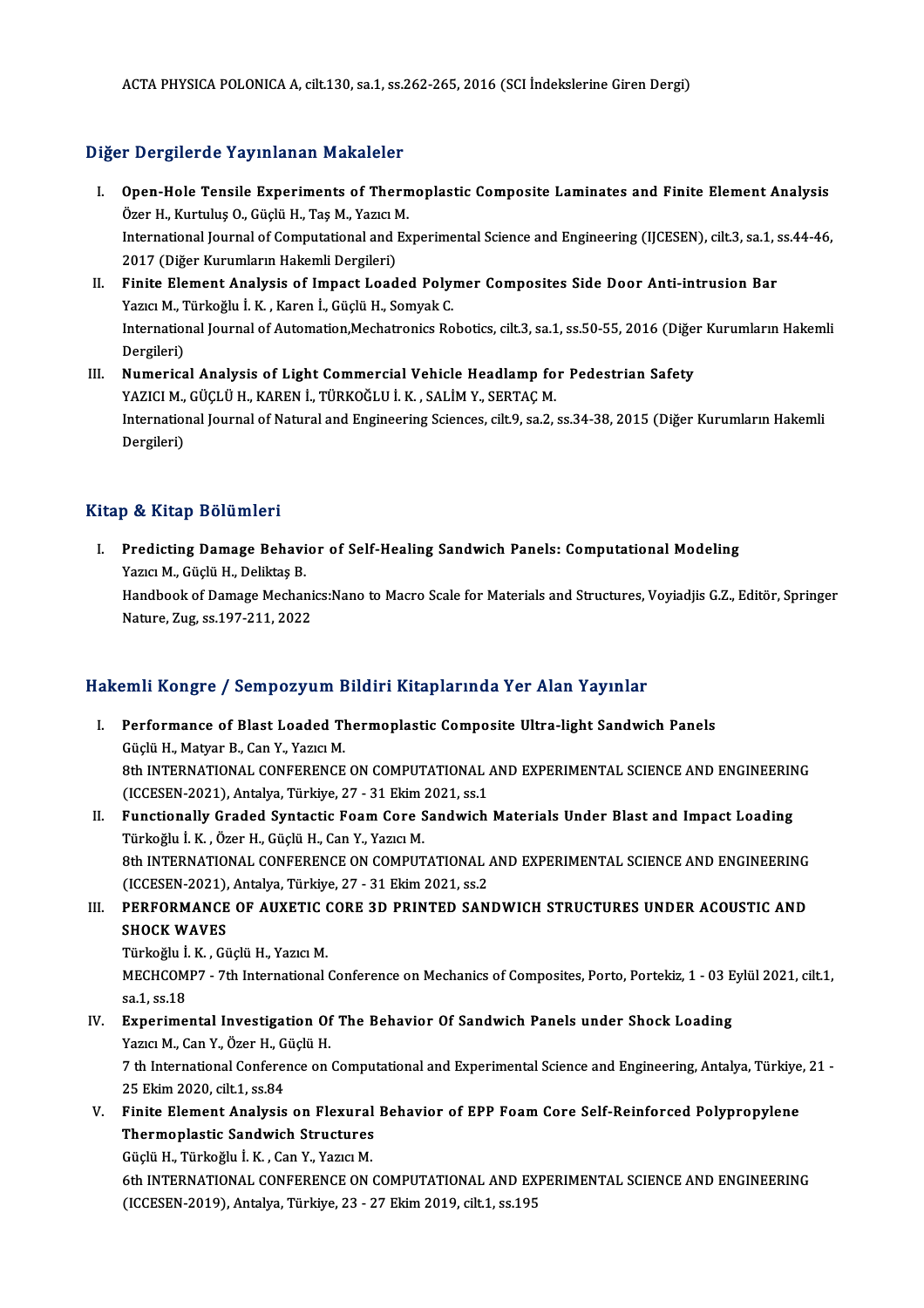ACTA PHYSICA POLONICA A, cilt.130, sa.1, ss.262-265, 2016 (SCI İndekslerine Giren Dergi)

### Diğer Dergilerde Yayınlanan Makaleler

- Iger Dergilerde Yayınlanan Makaleler<br>I. Open-Hole Tensile Experiments of Thermoplastic Composite Laminates and Finite Element Analysis<br>Özer H. Kurtulus O. Cüclü H. Tes M. Vezer M. orgiler de Tay Intendir Francisco.<br>Open-Hole Tensile Experiments of Thern<br>Özer H., Kurtuluş O., Güçlü H., Taş M., Yazıcı M. Open-Hole Tensile Experiments of Thermoplastic Composite Laminates and Finite Element Analysis<br>Özer H., Kurtuluş O., Güçlü H., Taş M., Yazıcı M.<br>International Journal of Computational and Experimental Science and Engineeri Özer H., Kurtuluş O., Güçlü H., Taş M., Yazıcı M.<br>International Journal of Computational and Ex<br>2017 (Diğer Kurumların Hakemli Dergileri) International Journal of Computational and Experimental Science and Engineering (IJCESEN), cilt.3, sa.1, s<br>2017 (Diğer Kurumların Hakemli Dergileri)<br>II. Finite Element Analysis of Impact Loaded Polymer Composites Side Door
- II. Finite Element Analysis of Impact Loaded Polymer Composites Side Door Anti-intrusion Bar<br>Yazıcı M., Türkoğlu İ.K. , Karen İ., Güçlü H., Somyak C. Finite Element Analysis of Impact Loaded Polymer Composites Side Door Anti-intrusion Bar<br>Yazıcı M., Türkoğlu İ. K. , Karen İ., Güçlü H., Somyak C.<br>International Journal of Automation,Mechatronics Robotics, cilt.3, sa.1, ss Yazıcı M., 1<br>Internation<br>Dergileri)<br>Numanias International Journal of Automation, Mechatronics Robotics, cilt.3, sa.1, ss.50-55, 2016 (Diğe:<br>Dergileri)<br>III. Numerical Analysis of Light Commercial Vehicle Headlamp for Pedestrian Safety<br>VAZICI M. CÜCLÜ H. KAREN İ. TÜRK
- Dergileri)<br>Numerical Analysis of Light Commercial Vehicle Headlamp fo<br>YAZICI M., GÜÇLÜ H., KAREN İ., TÜRKOĞLU İ. K. , SALİM Y., SERTAÇ M.<br>International Journal of Natural and Engineering Sciences, silt 9, se 3 . International Journal of Natural and Engineering Sciences, cilt.9, sa.2, ss.34-38, 2015 (Diğer Kurumların Hakemli<br>Dergileri) YAZICI M., GÜÇLÜ H., KAREN İ., TÜRKOĞLU İ. K. , SALİM Y., SERTAÇ M.

### Kitap & Kitap Bölümleri

Itap & Kitap Bölümleri<br>I. Predicting Damage Behavior of Self-Healing Sandwich Panels: Computational Modeling<br>Marie M. Güclü H. Deliktes P y & Hitap Dorumor<br>Predicting Damage Behavi<br>Yazıcı M., Güçlü H., Deliktaş B.<br>Handbook of Damage Mosbar Predicting Damage Behavior of Self-Healing Sandwich Panels: Computational Modeling<br>Yazıcı M., Güçlü H., Deliktaş B.<br>Handbook of Damage Mechanics:Nano to Macro Scale for Materials and Structures, Voyiadjis G.Z., Editör, Spr Yazıcı M., Güçlü H., Deliktaş B.<br>Handbook of Damage Mechani<br>Nature, Zug, ss.197-211, 2022

# Nature, Zug, ss.197-211, 2022<br>Hakemli Kongre / Sempozyum Bildiri Kitaplarında Yer Alan Yayınlar

- akemli Kongre / Sempozyum Bildiri Kitaplarında Yer Alan Yayınlar<br>I. Performance of Blast Loaded Thermoplastic Composite Ultra-light Sandwich Panels<br>Cöclü H. Mation P. Can Y. Yarısı M SINI ROLLETT COMPOSTUM SINI<br>Performance of Blast Loaded Tl<br>Güçlü H., Matyar B., Can Y., Yazıcı M.<br>9th INTEDNATIONAL CONFERENCE Performance of Blast Loaded Thermoplastic Composite Ultra-light Sandwich Panels<br>Güçlü H., Matyar B., Can Y., Yazıcı M.<br>8th INTERNATIONAL CONFERENCE ON COMPUTATIONAL AND EXPERIMENTAL SCIENCE AND ENGINEERING<br>(ICCEEEN 2021), Güçlü H., Matyar B., Can Y., Yazıcı M.<br>8th INTERNATIONAL CONFERENCE ON COMPUTATIONAL AND EXPERIMENTAL SCIENCE AND ENGINEERING<br>(ICCESEN-2021), Antalya, Türkiye, 27 - 31 Ekim 2021, ss.1
- II. Functionally Graded Syntactic Foam Core Sandwich Materials Under Blast and Impact Loading Türkoğlu İ.K. ,ÖzerH.,GüçlüH.,CanY.,YazıcıM. Functionally Graded Syntactic Foam Core Sandwich Materials Under Blast and Impact Loading<br>Türkoğlu İ. K. , Özer H., Güçlü H., Can Y., Yazıcı M.<br>8th INTERNATIONAL CONFERENCE ON COMPUTATIONAL AND EXPERIMENTAL SCIENCE AND ENG Türkoğlu İ. K. , Özer H., Güçlü H., Can Y., Yazıcı M.<br>8th INTERNATIONAL CONFERENCE ON COMPUTATIONAL .<br>(ICCESEN-2021), Antalya, Türkiye, 27 - 31 Ekim 2021, ss.2<br>REREORMANCE OE AUVETIC CORE 3D RRINTED SAN 8th INTERNATIONAL CONFERENCE ON COMPUTATIONAL AND EXPERIMENTAL SCIENCE AND ENGINEERING<br>(ICCESEN-2021), Antalya, Türkiye, 27 - 31 Ekim 2021, ss.2<br>III. PERFORMANCE OF AUXETIC CORE 3D PRINTED SANDWICH STRUCTURES UNDER ACOUSTI
- (ICCESEN-2021),<br>PERFORMANCE<br>SHOCK WAVES PERFORMANCE OF AUXETIC (<br>SHOCK WAVES<br>Türkoğlu İ.K. , Güçlü H., Yazıcı M.<br>MECHCOMP7 - 7th International

SHOCK WAVES<br>Türkoğlu İ. K. , Güçlü H., Yazıcı M.<br>MECHCOMP7 - 7th International Conference on Mechanics of Composites, Porto, Portekiz, 1 - 03 Eylül 2021, cilt.1, Türkoğlu İ.<br>MECHCOM<br>sa.1, ss.18<br>Evnonima MECHCOMP7 - 7th International Conference on Mechanics of Composites, Porto, Portekiz, 1 - 03 E<br>sa.1, ss.18<br>IV. Experimental Investigation Of The Behavior Of Sandwich Panels under Shock Loading<br>Varia M. Can Y. Özen H. Güelü

# sa.1, ss.18<br><mark>Experimental Investigation Of</mark><br>Yazıcı M., Can Y., Özer H., Güçlü H.<br>7 th International Conference en

IV. Experimental Investigation Of The Behavior Of Sandwich Panels under Shock Loading<br>Yazıcı M., Can Y., Özer H., Güçlü H.<br>7 th International Conference on Computational and Experimental Science and Engineering, Antalya, T Yazıcı M., Can Y., Özer H., G.<br>7 th International Conferen<br>25 Ekim 2020, cilt.1, ss.84<br>Finite Flement Analysia 7 th International Conference on Computational and Experimental Science and Engineering, Antalya, Türkiye<br>25 Ekim 2020, cilt.1, ss.84<br>V. Finite Element Analysis on Flexural Behavior of EPP Foam Core Self-Reinforced Polypro

25 Ekim 2020, cilt.1, ss.84<br>Finite Element Analysis on Flexural<br>Thermoplastic Sandwich Structures Finite Element Analysis on Flexural<br>Thermoplastic Sandwich Structures<br>Güçlü H., Türkoğlu İ. K. , Can Y., Yazıcı M.<br>4th INTERNATIONAL CONEERENCE ON

Thermoplastic Sandwich Structures<br>Güçlü H., Türkoğlu İ. K. , Can Y., Yazıcı M.<br>6th INTERNATIONAL CONFERENCE ON COMPUTATIONAL AND EXPERIMENTAL SCIENCE AND ENGINEERING<br>(ICCESEN 2019), Antalya Türkiya 22, 27 Ekim 2019 gilt 1, Güçlü H., Türkoğlu İ. K. , Can Y., Yazıcı M.<br>6th INTERNATIONAL CONFERENCE ON COMPUTATIONAL AND EX<br>(ICCESEN-2019), Antalya, Türkiye, 23 - 27 Ekim 2019, cilt.1, ss.195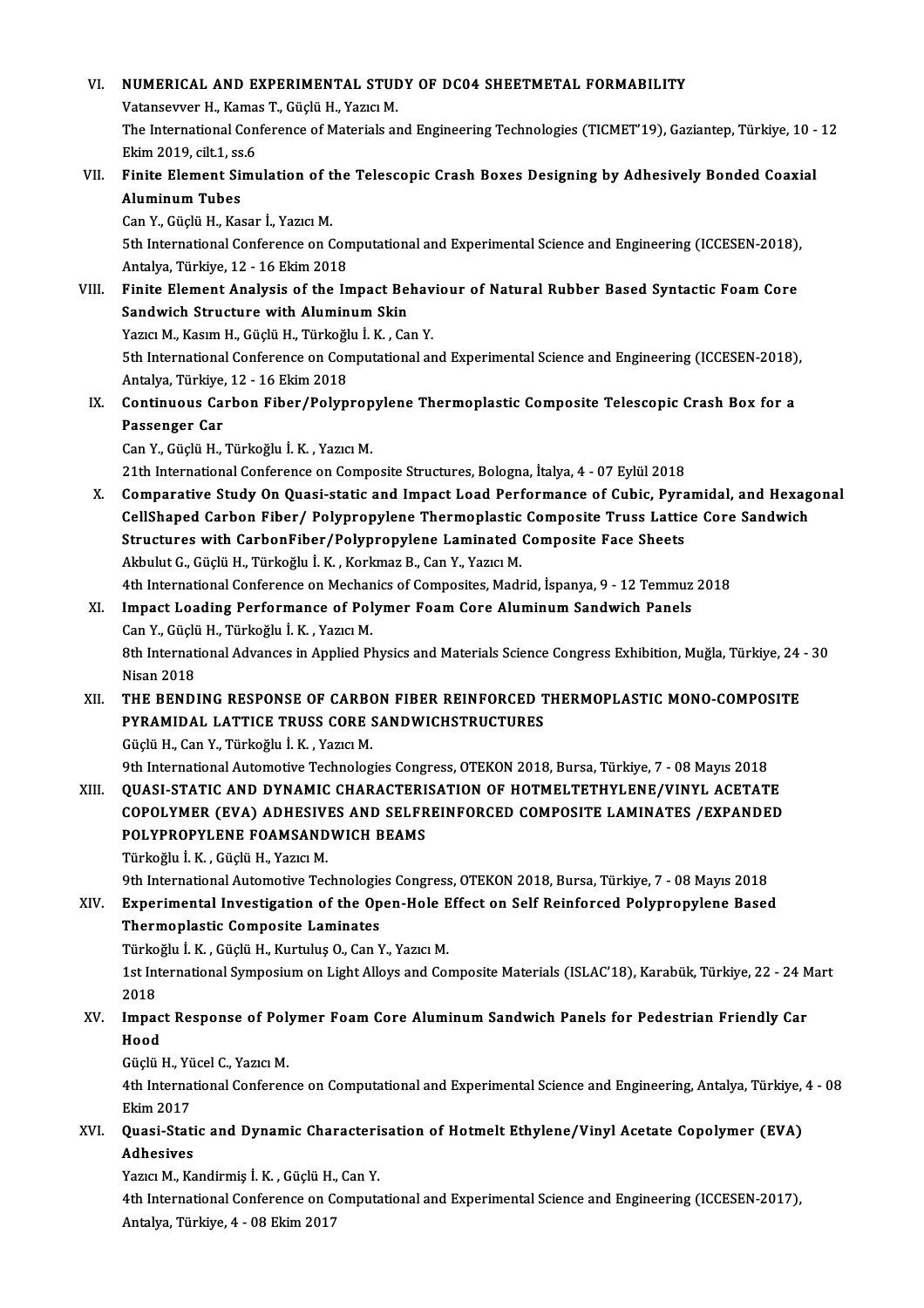# VI. NUMERICAL AND EXPERIMENTAL STUDY OF DC04 SHEETMETAL FORMABILITY NUMERICAL AND EXPERIMENTAL STUL<br>Vatansevver H., Kamas T., Güçlü H., Yazıcı M.<br>The International Conference of Materiale ar The International Conference of Materials and Engineering Technologies (TICMET'19), Gaziantep, Türkiye, 10 - 12<br>Ekim 2019. cilt.1. ss.6 Vatansevver H., Kamas T., Güçlü H., Yazıcı M. The International Conference of Materials and Engineering Technologies (TICMET'19), Gaziantep, Türkiye, 10 -<br>Ekim 2019, cilt.1, ss.6<br>VII. Finite Element Simulation of the Telescopic Crash Boxes Designing by Adhesively Bond Ekim 2019, cilt.1, ss<br>Finite Element Si<br>Aluminum Tubes<br>Can Y. Cüslü H. Kas Finite Element Simulation of t<br>Aluminum Tubes<br>Can Y., Güçlü H., Kasar İ., Yazıcı M.<br>Eth International Conference on C Aluminum Tubes<br>Can Y., Güçlü H., Kasar İ., Yazıcı M.<br>5th International Conference on Computational and Experimental Science and Engineering (ICCESEN-2018),<br>Antalya Türkiye 12, 16 Ekim 2018 Can Y., Güçlü H., Kasar İ., Yazıcı M.<br>5th International Conference on Con<br>Antalya, Türkiye, 12 - 16 Ekim 2018<br>Finito Flament Analygis of the In 5th International Conference on Computational and Experimental Science and Engineering (ICCESEN-2018),<br>Antalya, Türkiye, 12 - 16 Ekim 2018<br>VIII. Finite Element Analysis of the Impact Behaviour of Natural Rubber Based Synta Antalya, Türkiye, 12 - 16 Ekim 2018<br>Finite Element Analysis of the Impact Bel<br>Sandwich Structure with Aluminum Skin<br>Yazıa M. Kasım H. Güçlü H. Türkeğlu İ. K. Gü Finite Element Analysis of the Impact Behav<br>Sandwich Structure with Aluminum Skin<br>Yazıcı M., Kasım H., Güçlü H., Türkoğlu İ. K. , Can Y.<br>Eth International Conference en Computational en Sandwich Structure with Aluminum Skin<br>1951 - Yazıcı M., Kasım H., Güçlü H., Türkoğlu İ. K. , Can Y.<br>5th International Conference on Computational and Experimental Science and Engineering (ICCESEN-2018), Yazıcı M., Kasım H., Güçlü H., Türkoğl<br>5th International Conference on Con<br>Antalya, Türkiye, 12 - 16 Ekim 2018<br>Continuous Carbon Eiber (Bolun 5th International Conference on Computational and Experimental Science and Engineering (ICCESEN-2018)<br>Antalya, Türkiye, 12 - 16 Ekim 2018<br>IX. Continuous Carbon Fiber/Polypropylene Thermoplastic Composite Telescopic Crash B Antalya, Türkiye,<br>Continuous Ca:<br>Passenger Car Continuous Carbon Fiber/Polyprop<br>Passenger Car<br>Can Y., Güçlü H., Türkoğlu İ.K. , Yazıcı M.<br>21th International Conference en Compa Passenger Car<br>Can Y., Güçlü H., Türkoğlu İ. K. , Yazıcı M.<br>21th International Conference on Composite Structures, Bologna, İtalya, 4 - 07 Eylül 2018 Can Y., Güçlü H., Türkoğlu İ. K. , Yazıcı M.<br>21th International Conference on Composite Structures, Bologna, İtalya, 4 - 07 Eylül 2018<br>X. Comparative Study On Quasi-static and Impact Load Performance of Cubic, Pyramidal, a 21th International Conference on Composite Structures, Bologna, İtalya, 4 - 07 Eylül 2018<br>Comparative Study On Quasi-static and Impact Load Performance of Cubic, Pyramidal, and Hexag<br>CellShaped Carbon Fiber/ Polypropylene Comparative Study On Quasi-static and Impact Load Performance of Cubic, Pyra<br>CellShaped Carbon Fiber/ Polypropylene Thermoplastic Composite Truss Lattic<br>Structures with CarbonFiber/Polypropylene Laminated Composite Face Sh CellShaped Carbon Fiber/ Polypropylene Thermoplastic Composite Truss Lattice Core Sandwich<br>Structures with CarbonFiber/Polypropylene Laminated Composite Face Sheets<br>Akbulut G., Güçlü H., Türkoğlu İ.K. , Korkmaz B., Can Y., Structures with CarbonFiber/Polypropylene Laminated Composite Face Sheets<br>Akbulut G., Güçlü H., Türkoğlu İ. K. , Korkmaz B., Can Y., Yazıcı M.<br>4th International Conference on Mechanics of Composites, Madrid, İspanya, 9 - 1 Akbulut G., Güçlü H., Türkoğlu İ. K. , Korkmaz B., Can Y., Yazıcı M.<br>4th International Conference on Mechanics of Composites, Madrid, İspanya, 9 - 12 Temmuz<br>XI. Impact Loading Performance of Polymer Foam Core Aluminum Sand 4th International Conference on Mechan<br>Impact Loading Performance of Pol<br>Can Y., Güçlü H., Türkoğlu İ.K. , Yazıcı M.<br><sup>9th</sup> International Advances in Annlied Pl Impact Loading Performance of Polymer Foam Core Aluminum Sandwich Panels<br>Can Y., Güçlü H., Türkoğlu İ. K. , Yazıcı M.<br>8th International Advances in Applied Physics and Materials Science Congress Exhibition, Muğla, Türkiye, Can Y., Güçlü H., Türkoğlu İ. K. , Yazıcı M.<br>8th International Advances in Applied Physics and Materials Science Congress Exhibition, Muğla, Türkiye, 24<br>811. THE BENDING RESPONSE OF CARBON FIBER REINFORCED THERMOPLASTI 8th International Advances in Applied Physics and Materials Science Congress Exhibition, Muğla, Türkiye, 24<br>Nisan 2018<br>XII. THE BENDING RESPONSE OF CARBON FIBER REINFORCED THERMOPLASTIC MONO-COMPOSITE<br>RESPONDAL LATTICE TRU PYRAMIDAL LATTICE TRUSS CORE SANDWICHSTRUCTURES GüçlüH.,CanY.,Türkoğlu İ.K. ,YazıcıM. 9th International Automotive Technologies Congress, OTEKON 2018, Bursa, Türkiye, 7 - 08 Mayıs 2018 Güçlü H., Can Y., Türkoğlu İ. K. , Yazıcı M.<br>9th International Automotive Technologies Congress, OTEKON 2018, Bursa, Türkiye, 7 - 08 Mayıs 2018<br>XIII. QUASI-STATIC AND DYNAMIC CHARACTERISATION OF HOTMELTETHYLENE/VINYL ACETA 9th International Automotive Technologies Congress, OTEKON 2018, Bursa, Türkiye, 7 - 08 Mayıs 2018<br>QUASI-STATIC AND DYNAMIC CHARACTERISATION OF HOTMELTETHYLENE/VINYL ACETATE<br>COPOLYMER (EVA) ADHESIVES AND SELFREINFORCED COM QUASI-STATIC AND DYNAMIC CHARACTERI<br>COPOLYMER (EVA) ADHESIVES AND SELFR<br>POLYPROPYLENE FOAMSANDWICH BEAMS<br>Türkeğlu İ.K. Güclü H. Yerici M COPOLYMER (EVA) ADHESIVES AND SELFREINFORCED COMPOSITE LAMINATES /EXPANDED<br>POLYPROPYLENE FOAMSANDWICH BEAMS<br>Türkoğlu İ.K. , Güçlü H., Yazıcı M. 9th International Automotive Technologies Congress, OTEKON 2018, Bursa, Türkiye, 7 - 08 Mayıs 2018 Türkoğlu İ. K. , Güçlü H., Yazıcı M.<br>9th International Automotive Technologies Congress, OTEKON 2018, Bursa, Türkiye, 7 - 08 Mayıs 2018<br>XIV. Experimental Investigation of the Open-Hole Effect on Self Reinforced Polypro Thermoplastic Composite Laminates Experimental Investigation of the Open-Hole E<br>Thermoplastic Composite Laminates<br>Türkoğlu İ.K. , Güçlü H., Kurtuluş O., Can Y., Yazıcı M.<br>1st International Symposium on Light Allews and Get 1st International Symposium on Light Alloys and Composite Materials (ISLAC'18), Karabük, Türkiye, 22 - 24 Mart<br>2018 Türkoğlu İ. K., Güçlü H., Kurtuluş O., Can Y., Yazıcı M. 1st International Symposium on Light Alloys and Composite Materials (ISLAC'18), Karabük, Türkiye, 22 - 24 M<br>2018<br>XV. Impact Response of Polymer Foam Core Aluminum Sandwich Panels for Pedestrian Friendly Car<br>Hood 2018<br>Impac<br>Hood Impact Response of Pol<mark>:</mark><br>Hood<br>Güçlü H., Yücel C., Yazıcı M.<br>4th International Conferen Hood<br>Güçlü H., Yücel C., Yazıcı M.<br>4th International Conference on Computational and Experimental Science and Engineering, Antalya, Türkiye, 4 - 08 Güçlü H., Yü<br>4th Interna<br>Ekim 2017<br>Quesi Stat 4th International Conference on Computational and Experimental Science and Engineering, Antalya, Türkiye,<br>Ekim 2017<br>XVI. Quasi-Static and Dynamic Characterisation of Hotmelt Ethylene/Vinyl Acetate Copolymer (EVA) Ekim 2017<br>Quasi-Stati<br>Adhesives<br><sup>Vorig</sup> M. Ko Quasi-Static and Dynamic Characteri<br>Adhesives<br>Yazıcı M., Kandirmiş İ. K. , Güçlü H., Can Y.<br>4th International Conference en Compute Adhesives<br>Yazıcı M., Kandirmiş İ. K. , Güçlü H., Can Y.<br>4th International Conference on Computational and Experimental Science and Engineering (ICCESEN-2017), Antalya,Türkiye,4 -08Ekim2017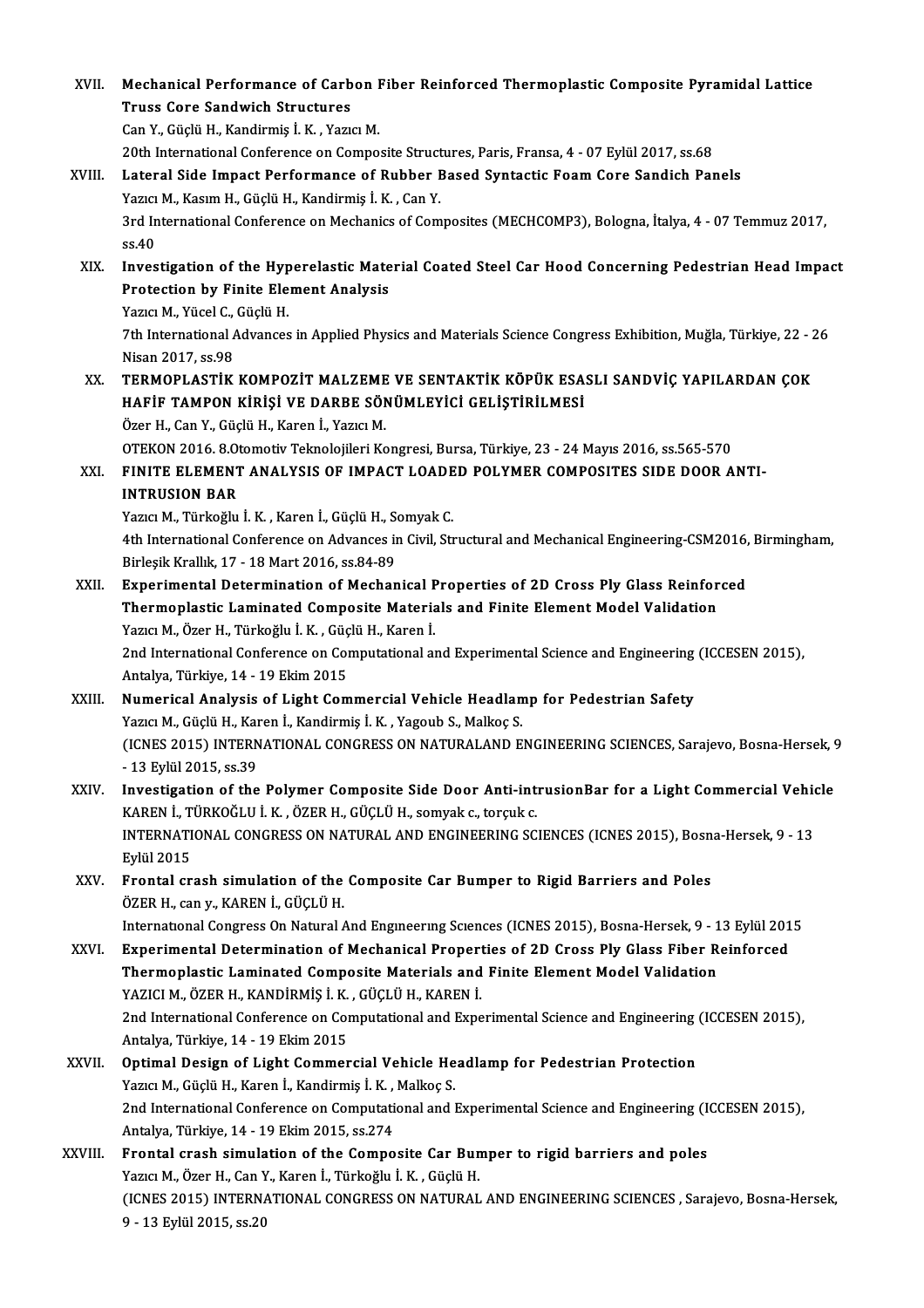| XVII.   | Mechanical Performance of Carbon Fiber Reinforced Thermoplastic Composite Pyramidal Lattice<br><b>Truss Core Sandwich Structures</b><br>Can Y., Güçlü H., Kandirmiş İ. K., Yazıcı M.                    |
|---------|---------------------------------------------------------------------------------------------------------------------------------------------------------------------------------------------------------|
|         | 20th International Conference on Composite Structures, Paris, Fransa, 4 - 07 Eylül 2017, ss.68                                                                                                          |
| XVIII.  | Lateral Side Impact Performance of Rubber Based Syntactic Foam Core Sandich Panels                                                                                                                      |
|         | Yazıcı M., Kasım H., Güçlü H., Kandirmiş İ. K., Can Y.                                                                                                                                                  |
|         | 3rd International Conference on Mechanics of Composites (MECHCOMP3), Bologna, İtalya, 4 - 07 Temmuz 2017,                                                                                               |
|         | ss 40                                                                                                                                                                                                   |
| XIX.    | Investigation of the Hyperelastic Material Coated Steel Car Hood Concerning Pedestrian Head Impact<br><b>Protection by Finite Element Analysis</b>                                                      |
|         | Yazıcı M., Yücel C., Güçlü H.                                                                                                                                                                           |
|         | 7th International Advances in Applied Physics and Materials Science Congress Exhibition, Muğla, Türkiye, 22 - 26                                                                                        |
|         | Nisan 2017, ss 98                                                                                                                                                                                       |
| XX.     | TERMOPLASTIK KOMPOZIT MALZEME VE SENTAKTIK KÖPÜK ESASLI SANDVİÇ YAPILARDAN ÇOK<br>HAFİF TAMPON KİRİŞİ VE DARBE SÖNÜMLEYİCİ GELİŞTİRİLMESİ                                                               |
|         | Özer H., Can Y., Güçlü H., Karen İ., Yazıcı M.                                                                                                                                                          |
| XXI.    | OTEKON 2016. 8. Otomotiv Teknolojileri Kongresi, Bursa, Türkiye, 23 - 24 Mayıs 2016, ss. 565-570<br>FINITE ELEMENT ANALYSIS OF IMPACT LOADED POLYMER COMPOSITES SIDE DOOR ANTI-<br><b>INTRUSION BAR</b> |
|         | Yazıcı M., Türkoğlu İ. K., Karen İ., Güçlü H., Somyak C.                                                                                                                                                |
|         | 4th International Conference on Advances in Civil, Structural and Mechanical Engineering-CSM2016, Birmingham,                                                                                           |
|         | Birleşik Krallık, 17 - 18 Mart 2016, ss 84-89                                                                                                                                                           |
| XXII.   | Experimental Determination of Mechanical Properties of 2D Cross Ply Glass Reinforced                                                                                                                    |
|         | Thermoplastic Laminated Composite Materials and Finite Element Model Validation                                                                                                                         |
|         | Yazıcı M., Özer H., Türkoğlu İ. K., Güçlü H., Karen İ.                                                                                                                                                  |
|         | 2nd International Conference on Computational and Experimental Science and Engineering (ICCESEN 2015),<br>Antalya, Türkiye, 14 - 19 Ekim 2015                                                           |
| XXIII.  | Numerical Analysis of Light Commercial Vehicle Headlamp for Pedestrian Safety                                                                                                                           |
|         | Yazıcı M., Güçlü H., Karen İ., Kandirmiş İ. K., Yagoub S., Malkoç S.                                                                                                                                    |
|         | (ICNES 2015) INTERNATIONAL CONGRESS ON NATURALAND ENGINEERING SCIENCES, Sarajevo, Bosna-Hersek, 9<br>- 13 Eylül 2015, ss 39                                                                             |
| XXIV.   | Investigation of the Polymer Composite Side Door Anti-intrusionBar for a Light Commercial Vehicle                                                                                                       |
|         | KAREN İ., TÜRKOĞLU İ. K., ÖZER H., GÜÇLÜ H., somyak c., torçuk c.                                                                                                                                       |
|         | INTERNATIONAL CONGRESS ON NATURAL AND ENGINEERING SCIENCES (ICNES 2015), Bosna-Hersek, 9 - 13                                                                                                           |
| XXV.    | Eylül 2015<br>Frontal crash simulation of the Composite Car Bumper to Rigid Barriers and Poles                                                                                                          |
|         | ÖZER H., can y., KAREN İ., GÜÇLÜ H.                                                                                                                                                                     |
|         | International Congress On Natural And Engineering Sciences (ICNES 2015), Bosna-Hersek, 9 - 13 Eylül 2015                                                                                                |
| XXVI.   | Experimental Determination of Mechanical Properties of 2D Cross Ply Glass Fiber Reinforced                                                                                                              |
|         | Thermoplastic Laminated Composite Materials and Finite Element Model Validation                                                                                                                         |
|         | YAZICI M., ÖZER H., KANDİRMİŞ İ. K., GÜÇLÜ H., KAREN İ.                                                                                                                                                 |
|         | 2nd International Conference on Computational and Experimental Science and Engineering (ICCESEN 2015),                                                                                                  |
|         | Antalya, Türkiye, 14 - 19 Ekim 2015                                                                                                                                                                     |
| XXVII.  | Optimal Design of Light Commercial Vehicle Headlamp for Pedestrian Protection                                                                                                                           |
|         | Yazıcı M., Güçlü H., Karen İ., Kandirmiş İ. K., Malkoç S.                                                                                                                                               |
|         | 2nd International Conference on Computational and Experimental Science and Engineering (ICCESEN 2015),                                                                                                  |
| XXVIII. | Antalya, Türkiye, 14 - 19 Ekim 2015, ss 274<br>Frontal crash simulation of the Composite Car Bumper to rigid barriers and poles                                                                         |
|         | Yazıcı M., Özer H., Can Y., Karen İ., Türkoğlu İ. K., Güçlü H.                                                                                                                                          |
|         | (ICNES 2015) INTERNATIONAL CONGRESS ON NATURAL AND ENGINEERING SCIENCES, Sarajevo, Bosna-Hersek,                                                                                                        |
|         | 9 - 13 Eylül 2015, ss 20                                                                                                                                                                                |
|         |                                                                                                                                                                                                         |